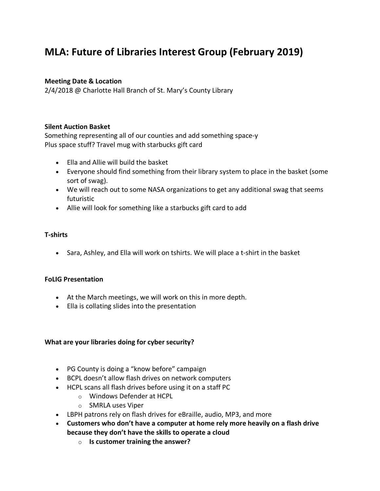# **MLA: Future of Libraries Interest Group (February 2019)**

#### **Meeting Date & Location**

2/4/2018 @ Charlotte Hall Branch of St. Mary's County Library

#### **Silent Auction Basket**

Something representing all of our counties and add something space-y Plus space stuff? Travel mug with starbucks gift card

- Ella and Allie will build the basket
- Everyone should find something from their library system to place in the basket (some sort of swag).
- We will reach out to some NASA organizations to get any additional swag that seems futuristic
- Allie will look for something like a starbucks gift card to add

#### **T-shirts**

• Sara, Ashley, and Ella will work on tshirts. We will place a t-shirt in the basket

#### **FoLIG Presentation**

- At the March meetings, we will work on this in more depth.
- Ella is collating slides into the presentation

#### **What are your libraries doing for cyber security?**

- PG County is doing a "know before" campaign
- BCPL doesn't allow flash drives on network computers
- HCPL scans all flash drives before using it on a staff PC
	- o Windows Defender at HCPL
	- o SMRLA uses Viper
- LBPH patrons rely on flash drives for eBraille, audio, MP3, and more
- **Customers who don't have a computer at home rely more heavily on a flash drive because they don't have the skills to operate a cloud**
	- o **Is customer training the answer?**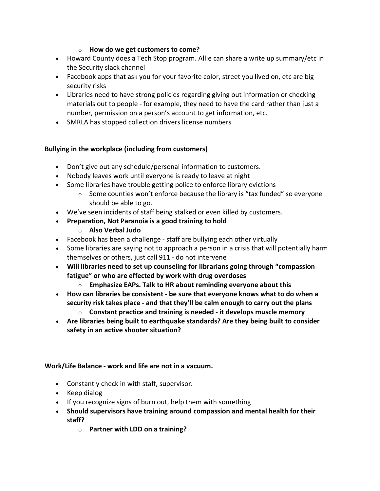### o **How do we get customers to come?**

- Howard County does a Tech Stop program. Allie can share a write up summary/etc in the Security slack channel
- Facebook apps that ask you for your favorite color, street you lived on, etc are big security risks
- Libraries need to have strong policies regarding giving out information or checking materials out to people - for example, they need to have the card rather than just a number, permission on a person's account to get information, etc.
- SMRLA has stopped collection drivers license numbers

## **Bullying in the workplace (including from customers)**

- Don't give out any schedule/personal information to customers.
- Nobody leaves work until everyone is ready to leave at night
- Some libraries have trouble getting police to enforce library evictions
	- $\circ$  Some counties won't enforce because the library is "tax funded" so everyone should be able to go.
- We've seen incidents of staff being stalked or even killed by customers.
- **Preparation, Not Paranoia is a good training to hold**
	- o **Also Verbal Judo**
- Facebook has been a challenge staff are bullying each other virtually
- Some libraries are saying not to approach a person in a crisis that will potentially harm themselves or others, just call 911 - do not intervene
- **Will libraries need to set up counseling for librarians going through "compassion fatigue" or who are effected by work with drug overdoses**
	- o **Emphasize EAPs. Talk to HR about reminding everyone about this**
- **How can libraries be consistent - be sure that everyone knows what to do when a security risk takes place - and that they'll be calm enough to carry out the plans**
	- o **Constant practice and training is needed - it develops muscle memory**
- **Are libraries being built to earthquake standards? Are they being built to consider safety in an active shooter situation?**

## **Work/Life Balance - work and life are not in a vacuum.**

- Constantly check in with staff, supervisor.
- Keep dialog
- If you recognize signs of burn out, help them with something
- **Should supervisors have training around compassion and mental health for their staff?**
	- o **Partner with LDD on a training?**